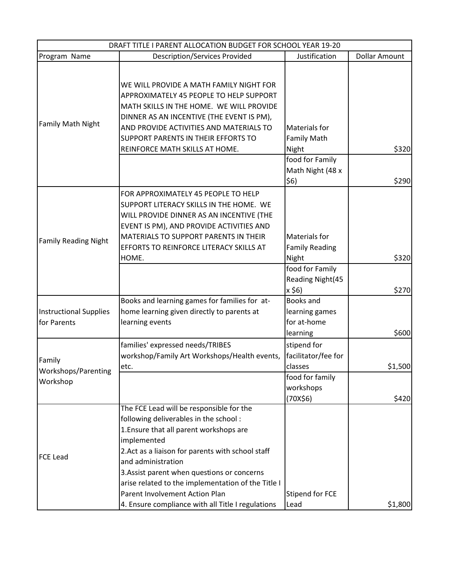| DRAFT TITLE I PARENT ALLOCATION BUDGET FOR SCHOOL YEAR 19-20 |                                                    |                              |                      |  |
|--------------------------------------------------------------|----------------------------------------------------|------------------------------|----------------------|--|
| Program Name                                                 | <b>Description/Services Provided</b>               | Justification                | <b>Dollar Amount</b> |  |
| Family Math Night                                            |                                                    |                              |                      |  |
|                                                              | WE WILL PROVIDE A MATH FAMILY NIGHT FOR            |                              |                      |  |
|                                                              | APPROXIMATELY 45 PEOPLE TO HELP SUPPORT            |                              |                      |  |
|                                                              | MATH SKILLS IN THE HOME. WE WILL PROVIDE           |                              |                      |  |
|                                                              | DINNER AS AN INCENTIVE (THE EVENT IS PM),          |                              |                      |  |
|                                                              | AND PROVIDE ACTIVITIES AND MATERIALS TO            | <b>Materials for</b>         |                      |  |
|                                                              | SUPPORT PARENTS IN THEIR EFFORTS TO                | <b>Family Math</b>           |                      |  |
|                                                              | REINFORCE MATH SKILLS AT HOME.                     | Night                        | \$320                |  |
|                                                              |                                                    | food for Family              |                      |  |
|                                                              |                                                    | Math Night (48 x             |                      |  |
|                                                              |                                                    | \$6)                         | \$290                |  |
|                                                              | FOR APPROXIMATELY 45 PEOPLE TO HELP                |                              |                      |  |
|                                                              | SUPPORT LITERACY SKILLS IN THE HOME. WE            |                              |                      |  |
|                                                              | WILL PROVIDE DINNER AS AN INCENTIVE (THE           |                              |                      |  |
| <b>Family Reading Night</b>                                  | EVENT IS PM), AND PROVIDE ACTIVITIES AND           |                              |                      |  |
|                                                              | MATERIALS TO SUPPORT PARENTS IN THEIR              | <b>Materials for</b>         |                      |  |
|                                                              | EFFORTS TO REINFORCE LITERACY SKILLS AT            | <b>Family Reading</b>        |                      |  |
|                                                              | HOME.                                              | Night                        | \$320                |  |
|                                                              |                                                    | food for Family              |                      |  |
|                                                              |                                                    | Reading Night(45             |                      |  |
|                                                              |                                                    | x \$6)                       | \$270                |  |
| <b>Instructional Supplies</b><br>for Parents                 | Books and learning games for families for at-      | Books and                    |                      |  |
|                                                              | home learning given directly to parents at         | learning games               |                      |  |
|                                                              | learning events                                    | for at-home                  |                      |  |
|                                                              |                                                    | learning                     | \$600                |  |
| Family                                                       | families' expressed needs/TRIBES                   | stipend for                  |                      |  |
|                                                              | workshop/Family Art Workshops/Health events,       | facilitator/fee for          |                      |  |
| Workshops/Parenting                                          | etc.                                               | classes                      | \$1,500              |  |
| Workshop                                                     |                                                    | food for family<br>workshops |                      |  |
|                                                              |                                                    | (70X\$6)                     | \$420                |  |
|                                                              | The FCE Lead will be responsible for the           |                              |                      |  |
| <b>FCE Lead</b>                                              | following deliverables in the school:              |                              |                      |  |
|                                                              | 1. Ensure that all parent workshops are            |                              |                      |  |
|                                                              | implemented                                        |                              |                      |  |
|                                                              | 2.Act as a liaison for parents with school staff   |                              |                      |  |
|                                                              | and administration                                 |                              |                      |  |
|                                                              | 3. Assist parent when questions or concerns        |                              |                      |  |
|                                                              | arise related to the implementation of the Title I |                              |                      |  |
|                                                              | Parent Involvement Action Plan                     | <b>Stipend for FCE</b>       |                      |  |
|                                                              | 4. Ensure compliance with all Title I regulations  | Lead                         | \$1,800              |  |